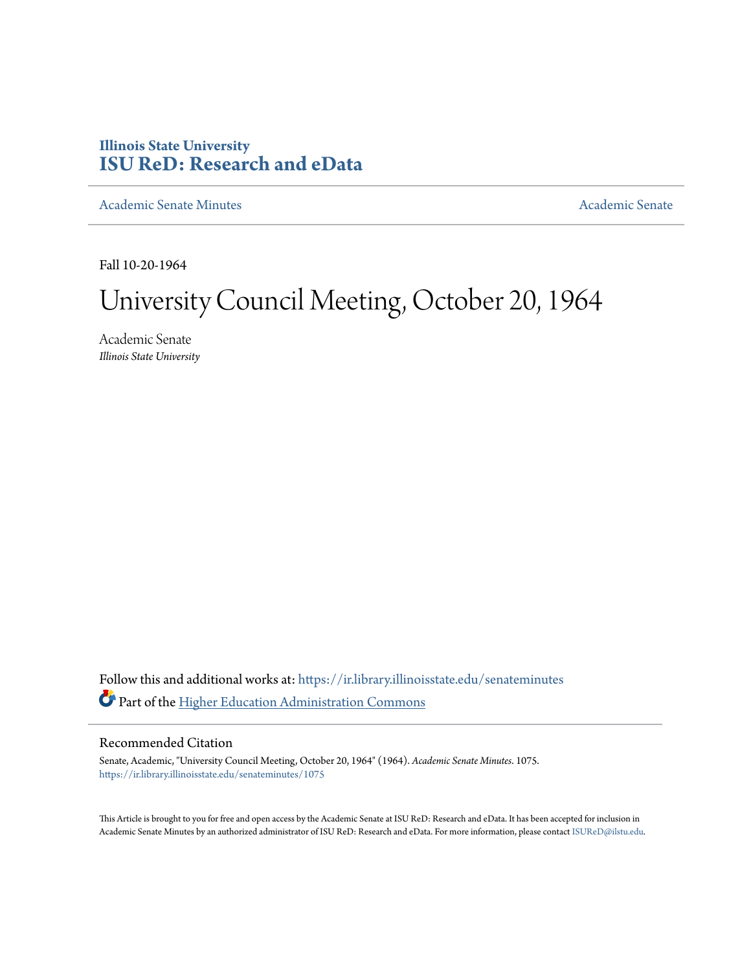## **Illinois State University [ISU ReD: Research and eData](https://ir.library.illinoisstate.edu?utm_source=ir.library.illinoisstate.edu%2Fsenateminutes%2F1075&utm_medium=PDF&utm_campaign=PDFCoverPages)**

[Academic Senate Minutes](https://ir.library.illinoisstate.edu/senateminutes?utm_source=ir.library.illinoisstate.edu%2Fsenateminutes%2F1075&utm_medium=PDF&utm_campaign=PDFCoverPages) [Academic Senate](https://ir.library.illinoisstate.edu/senate?utm_source=ir.library.illinoisstate.edu%2Fsenateminutes%2F1075&utm_medium=PDF&utm_campaign=PDFCoverPages) Academic Senate

Fall 10-20-1964

# University Council Meeting, October 20, 1964

Academic Senate *Illinois State University*

Follow this and additional works at: [https://ir.library.illinoisstate.edu/senateminutes](https://ir.library.illinoisstate.edu/senateminutes?utm_source=ir.library.illinoisstate.edu%2Fsenateminutes%2F1075&utm_medium=PDF&utm_campaign=PDFCoverPages) Part of the [Higher Education Administration Commons](http://network.bepress.com/hgg/discipline/791?utm_source=ir.library.illinoisstate.edu%2Fsenateminutes%2F1075&utm_medium=PDF&utm_campaign=PDFCoverPages)

### Recommended Citation

Senate, Academic, "University Council Meeting, October 20, 1964" (1964). *Academic Senate Minutes*. 1075. [https://ir.library.illinoisstate.edu/senateminutes/1075](https://ir.library.illinoisstate.edu/senateminutes/1075?utm_source=ir.library.illinoisstate.edu%2Fsenateminutes%2F1075&utm_medium=PDF&utm_campaign=PDFCoverPages)

This Article is brought to you for free and open access by the Academic Senate at ISU ReD: Research and eData. It has been accepted for inclusion in Academic Senate Minutes by an authorized administrator of ISU ReD: Research and eData. For more information, please contact [ISUReD@ilstu.edu.](mailto:ISUReD@ilstu.edu)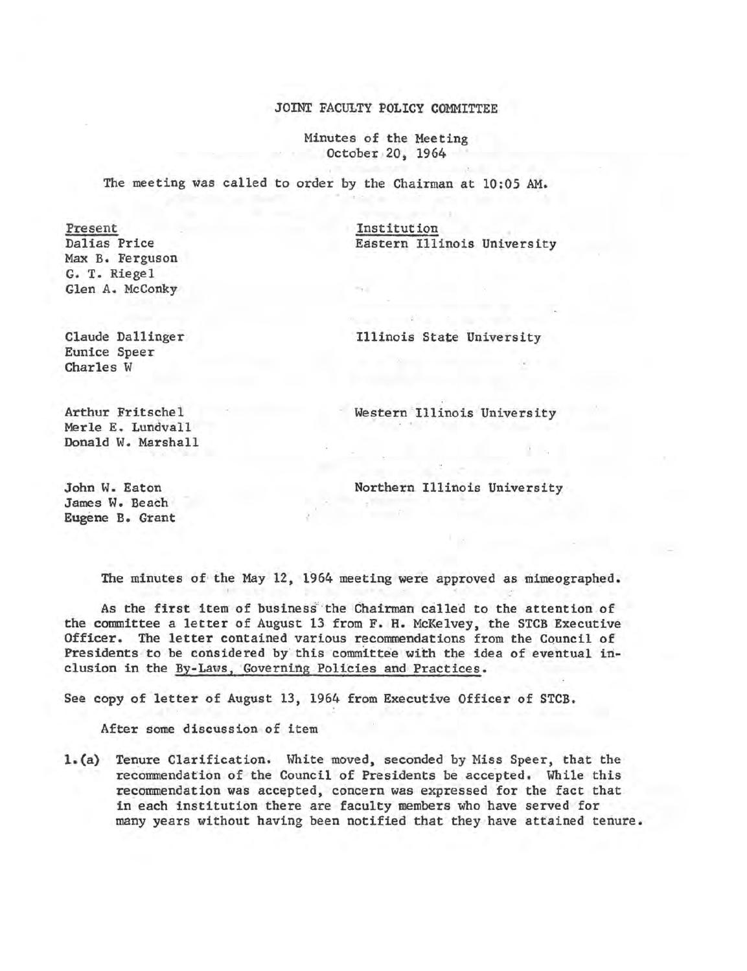#### JOINT FACULTY POLICY COMMITTEE

Minutes of the Meeting October 20, 1964

The meeting was called to order by the Chairman at 10:05 AM.

Present Dalias Price Max B. Ferguson G. T. Riegel Glen A. McConky

Institution Eastern Illinois University

Claude Dallinger Eunice Speer Charles W

Illinois State University

Arthur Fritschel Merle E. Lundvall Donald W. Marshall

Northern Illinois University

Western Illinois University

John w. Eaton James W. Beach Eugene B. Grant

The minutes of the May 12, 1964 meeting were approved as mimeographed.

As the first item of business the Chairman called to the attention of the committee a letter of August 13 from F. H. McKelvey, the STCB Executive Officer. The letter contained various recommendations from the Council of Presidents to be considered by this committee with the idea of eventual inclusion in the By-Laws, Governing Policies and Practices.

See copy of letter of August 13, 1964 from Executive Officer of STCB.

After some discussion of item

1.(a) Tenure Clarification. White moved, seconded by Miss Speer, that the recommendation of the Council of Presidents be accepted. While this recommendation was accepted, cpncern was expressed for the fact that in each institution there are faculty members who have served for many years without having been notified that they have attained tenure.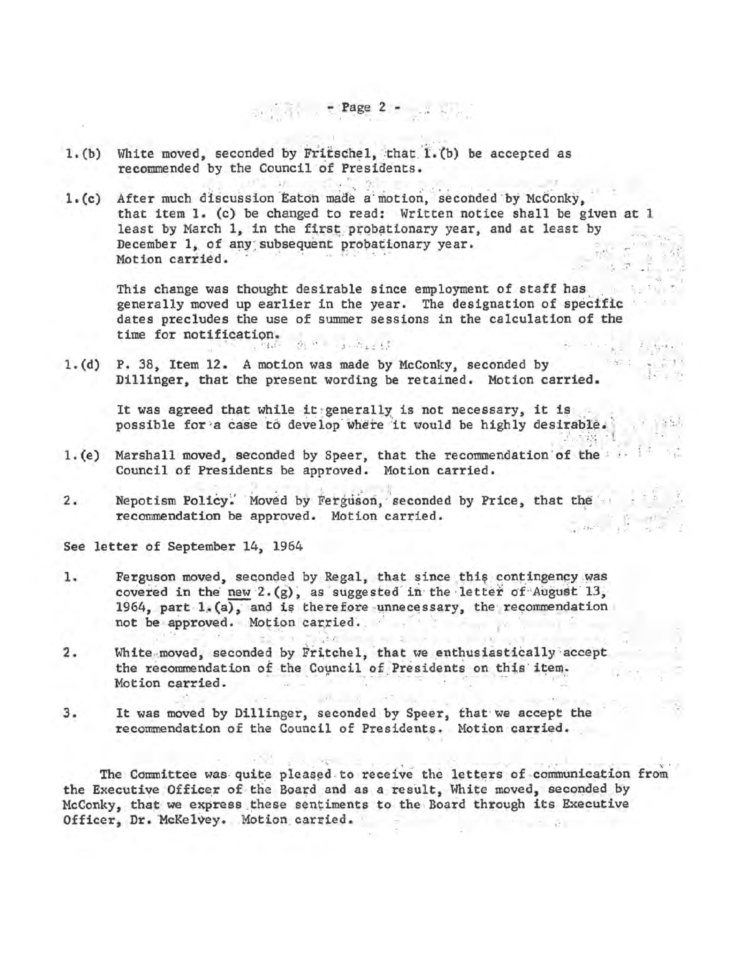- 1. (b) White moved, seconded by Fritschel, that 1. (b) be accepted as recommended by the Council of Presidents.
- 1.(c) After much discussion Eaton made a motion, seconded by McConky, that item 1. (c) be changed to read: Written notice shall be given at 1 least by March 1, in the first probationary year, and at least by December 1, of any subsequent probationary year.<br>Motion carried.

 $~\cdot$   $~$  -  $~$  Page, 2 -  $~$   $~$   $~$   $~$   $~$   $~$   $~$ 

This change was thought desirable since employment of staff has generally moved up earlier in the year. The designation of specific dates precludes the use of summer sessions in the calculation of the time for notification.

 $\mathbf{r}^*$ 

1. (d) P. 38, Item 12. A motion was made by McConky, seconded by Dillinger, that the present wording be retained. Motion carried.

It was agreed that while it generally is not necessary, it is  $\sim$ possible for a case to develop where it would be highly desirable.

- 1.(e) Marshall moved, seconded by Speer, that the recommendation of the : Council of Presidents be approved. Motion carried.
- 2. Nepotism Policy. Moved by Ferguson, seconded by Price, that the recommendation be approved. Motion carried. tale of the

See letter of September 14, 1964

- 1. Ferguson moved, seconded by Regal, that since this contingency was covered in the new  $2.(g)$ , as suggested in the letter of August  $13$ , 1964, part  $1.(a)$ , and is therefore unnecessary, the recommendation not be approved. Motion carried.
- 2. White moved, seconded by Fritchel, that we enthusiastically accept the recommendation of the Council of Presidents on this item. Motion carried.
- 3. It was moved by Dillinger, seconded by Speer, that· we accept the recommendation of the Council of Presidents. Motion carried.

The Committee was quite pleased to receive the letters of communication from the Executive Officer of the Board and as a result, White moved, seconded by McConky, that we express these sentiments to the Board through its Executive Officer, Dr. McKelvey. Motion carried.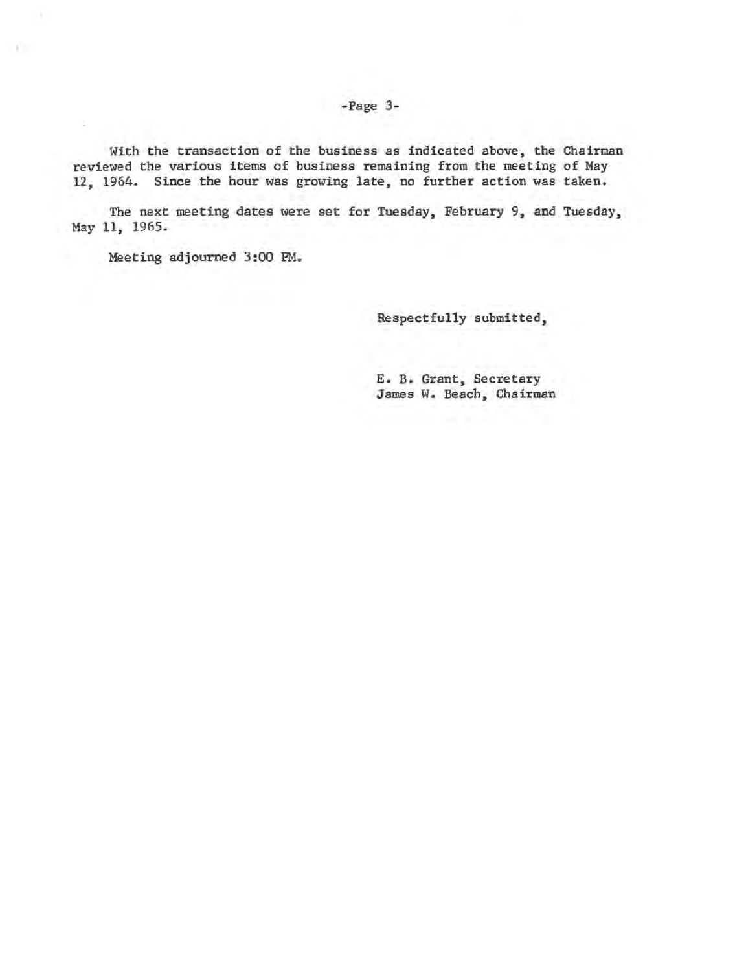#### -Page 3-

With the transaction of the business as indicated above, the Chairman reviewed the various items of business remaining from the meeting of May 12, 1964. Since the hour was growing late, no further action was taken.

The next meeting dates were set for Tuesday, February 9, and Tuesday, May 11, 1965.

Meeting adjourned 3:00 PM.

n.

Respectfully submitted,

E. B. Grant, Secretary James W. Beach, Chairman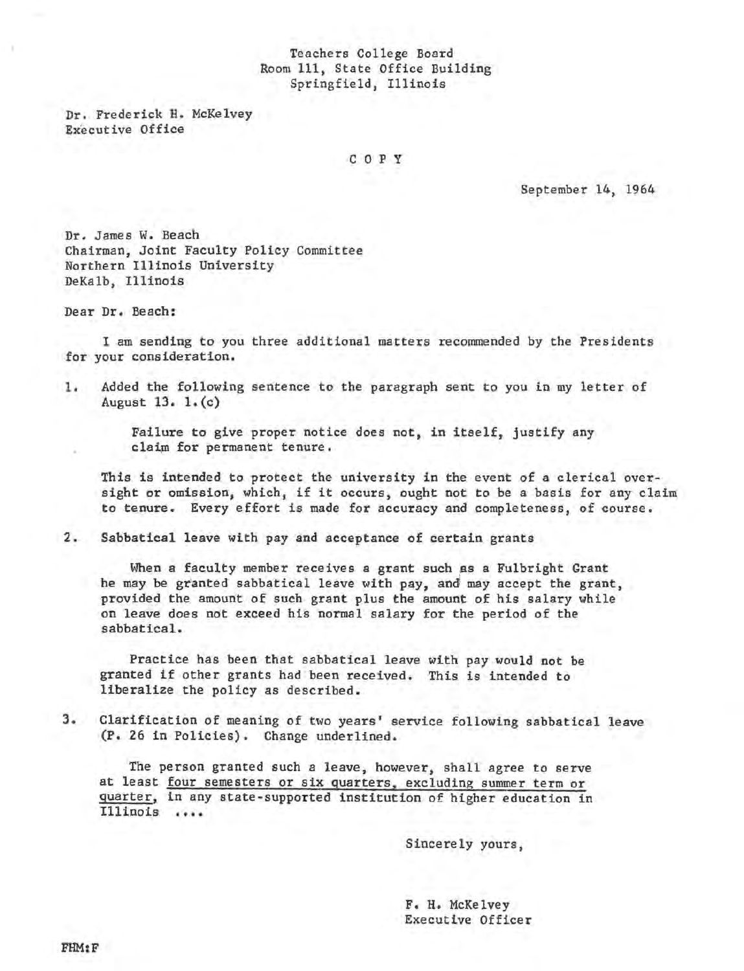#### Teachers College Board Room 111, State Office Building Springfield, Illinois

Dr. Frederick H. McKelvey Executive Office

C O P Y

September 14, 1964

Dr. James W. Beach Chairman, Joint Faculty Policy Committee Northern Illinois University DeKalb, Illinois

Dear Dr. Beach:

I am sending to you three additional matters recommended by the Presidents for your consideration.

1. Added the following sentence to the paragraph sent to you in my letter of August 13. 1. (c)

> Failure to give proper notice does not, in itself, justify any claim for permanent tenure.

This is intended to protect the university in the event of a clerical oversight or omission, which, if it occurs, ought not to be a basis for any claim to tenure. Every effort is made for accuracy and completeness, of course.

2. Sabbatical leave with pay and acceptance of certain grants

When a faculty member receives a grant such as a Fulbright Grant he may be granted sabbatical leave with pay, and may accept the grant, provided the amount of such grant plus the amount of his salary while on leave does not exceed his normal salary for the period of the sabbatical.

Practice has been that sabbatical leave with pay would not be granted if other grants had been received. This is intended to liberalize the policy as described.

3. Clarification of meaning of two years' service following sabbatical leave (P. 26 in Policies). Change underlined.

The person granted such a leave, however, shall agree to serve at least four semesters or six quarters, excluding summer term or quarter, in any state-supported institution of higher education in Illinois ••••

Sincerely yours,

F. H. McKelvey Executive Officer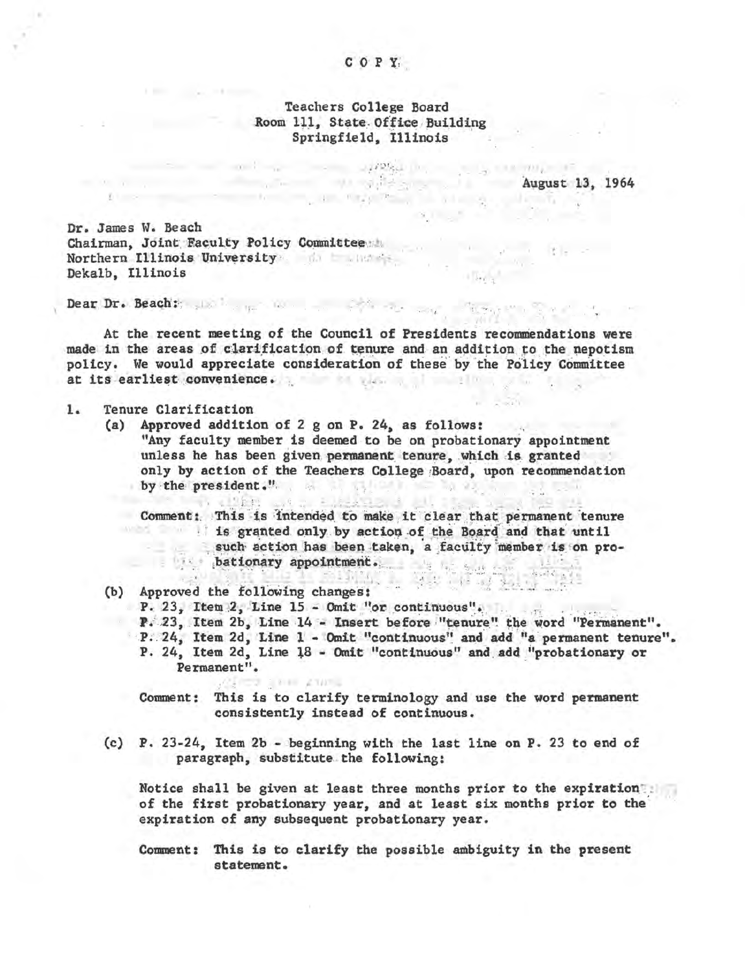#### COPY

#### Teachers College Board Room 111, State Office Building Springfield, Illinois

 $\label{eq:4.1} \mu(\mathcal{D}) = \mu(\mathcal{D}) = \mu(\mathcal{D}) = \mu(\mathcal{D}) = \mu(\mathcal{D}) = \mu(\mathcal{D}) = \mu(\mathcal{D}) = \mu(\mathcal{D}) = \mu(\mathcal{D}) = \mu(\mathcal{D}) = \mu(\mathcal{D}) = \mu(\mathcal{D}) = \mu(\mathcal{D}) = \mu(\mathcal{D}) = \mu(\mathcal{D}) = \mu(\mathcal{D}) = \mu(\mathcal{D}) = \mu(\mathcal{D}) = \mu(\mathcal{D}) = \mu(\mathcal{D}) = \mu(\mathcal{D}) = \mu(\mathcal{D}) = \mu(\mathcal{D}) = \mu(\math$ 

August 13, 1964 the second control of the second control of the second control of the second control of the second control of the second control of the second control of the second control of the second control of the second control of th

 $\exp\left(1-\frac{N_{\rm{B}}}{\sigma}\right)$ 

Dr. James W. Beach Chairman, Joint Faculty Policy Committee the contract of the contract of the contract of the contract of the contract of the contract of the contract of the contract of the contract of the contract of the contract of the c Northern Illinois University of the measure Dekalb, Illinois

 $\sim 12.1$ 

Dear Dr. Beach: Jackson and the company of the season of the season of the season of the season of the season of the season of the season of the season of the season of the season of the season of the season of the season

At the recent meeting of the Council of Presidents recommendations were made in the areas of clarification of tenure and an addition to the nepotism policy. We would appreciate consideration of these by the Policy Committee at its earliest convenience.

#### $1.$ Tenure Clarification

(a) Approved addition of 2 g on P. 24, as follows: "Any faculty member is deemed to be on probationary appointment unless he has been given permanent tenure, which is granted only by action of the Teachers College Board, upon recommendation by the president." Leveland Ultimated

Comment: This is intended to make it clear that permanent tenure is granted only by action of the Board and that until such action has been taken, a faculty member is on pro $b$  at  $b$  at  $b$  at  $c$  and  $c$  and  $c$  and  $c$  and  $c$  and  $c$  and  $c$  and  $c$  and  $c$  and  $c$  and  $c$  and  $c$  and  $c$  and  $c$  and  $c$  and  $c$  and  $c$  and  $c$  and  $c$  and  $c$  and  $c$  and  $c$  and  $c$  and  $c$  and  $c$  and

(b) Approved the following changes: P. 23, Item 2, Line 15 - Omit "or continuous". P. 23, Item 2b, Line 14 - Insert before "tenure" the word "Permanent". P. 24, Item 2d, Line 1 - Omit "continuous" and add "a permanent tenure". P. 24, Item 2d, Line 18 - Omit "continuous" and add "probationary or Permanent".

Comment: This is to clarify terminology and use the word permanent consistently instead of continuous.

(c) P. 23-24, Item 2b - beginning with the last line on P. 23 to end of paragraph, substitute the following:

**CONTRACTOR** 

Notice shall be given at least three months prior to the expiration of the first probationary year, and at least six months prior to the expiration of any subsequent probationary year.

Comment: This is to clarify the possible ambiguity in the present statement.